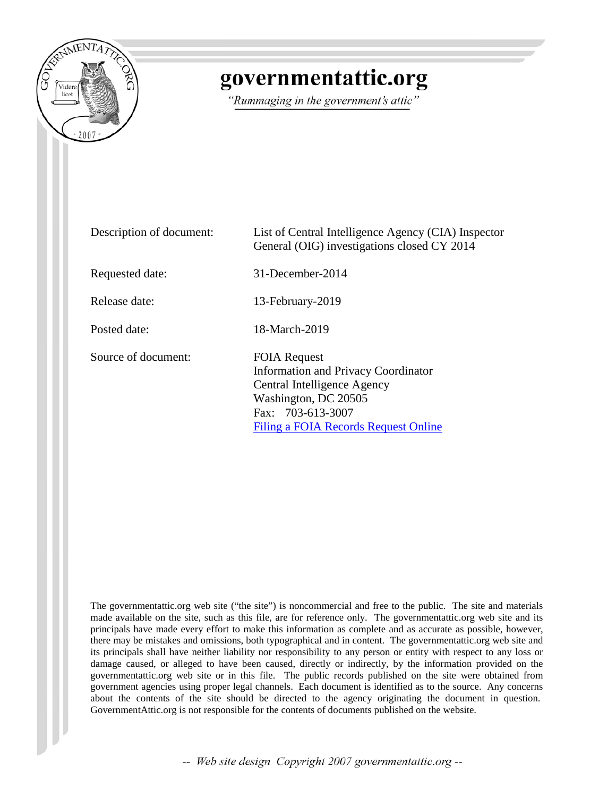

# governmentattic.org

"Rummaging in the government's attic"

| Description of document: | List of Central Intelligence Agency (CIA) Inspector<br>General (OIG) investigations closed CY 2014                                                                                    |
|--------------------------|---------------------------------------------------------------------------------------------------------------------------------------------------------------------------------------|
| Requested date:          | $31$ -December-2014                                                                                                                                                                   |
| Release date:            | 13-February-2019                                                                                                                                                                      |
| Posted date:             | 18-March-2019                                                                                                                                                                         |
| Source of document:      | <b>FOIA Request</b><br><b>Information and Privacy Coordinator</b><br>Central Intelligence Agency<br>Washington, DC 20505<br>Fax: 703-613-3007<br>Filing a FOIA Records Request Online |

The governmentattic.org web site ("the site") is noncommercial and free to the public. The site and materials made available on the site, such as this file, are for reference only. The governmentattic.org web site and its principals have made every effort to make this information as complete and as accurate as possible, however, there may be mistakes and omissions, both typographical and in content. The governmentattic.org web site and its principals shall have neither liability nor responsibility to any person or entity with respect to any loss or damage caused, or alleged to have been caused, directly or indirectly, by the information provided on the governmentattic.org web site or in this file. The public records published on the site were obtained from government agencies using proper legal channels. Each document is identified as to the source. Any concerns about the contents of the site should be directed to the agency originating the document in question. GovernmentAttic.org is not responsible for the contents of documents published on the website.

-- Web site design Copyright 2007 governmentattic.org --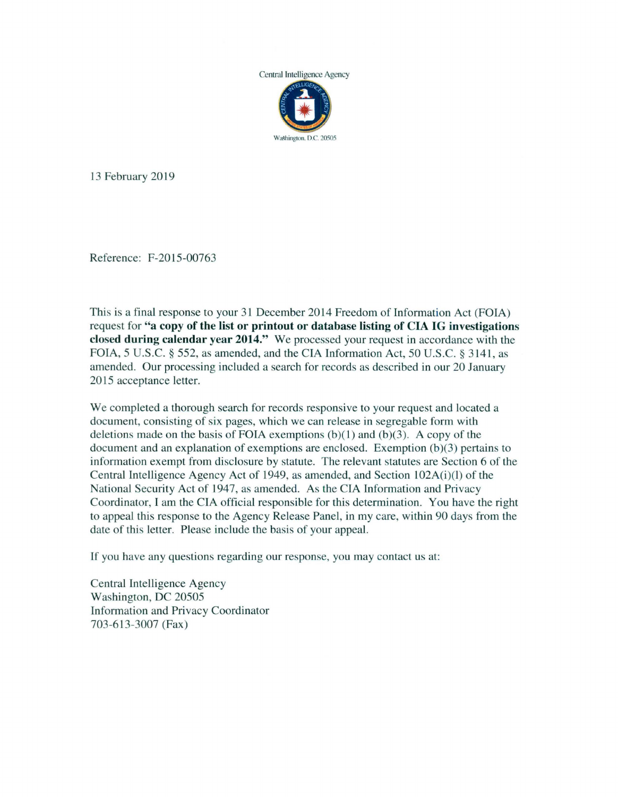

13 February 2019

Reference: F-2015-00763

This is a final response to your 31 December 2014 Freedom of Information Act (FOIA) request for **"a copy of the list or printout or database listing of CIA IG investigations closed during calendar year 2014."** We processed your request in accordance with the FOIA, 5 U.S.C. § 552, as amended, and the CIA Information Act, 50 U.S.C. § 3141, as amended. Our processing included a search for records as described in our 20 January 2015 acceptance letter.

We completed a thorough search for records responsive to your request and located a document, consisting of six pages, which we can release in segregable form with deletions made on the basis of FOIA exemptions  $(b)(1)$  and  $(b)(3)$ . A copy of the document and an explanation of exemptions are enclosed. Exemption (b)(3) pertains to information exempt from disclosure by statute. The relevant statutes are Section 6 of the Central Intelligence Agency Act of 1949, as amended, and Section 102A(i)(l) of the National Security Act of 1947, as amended. As the CIA Information and Privacy Coordinator, I am the CIA official responsible for this determination. You have the right to appeal this response to the Agency Release Panel, in my care, within 90 days from the date of this letter. Please include the basis of your appeal.

If you have any questions regarding our response, you may contact us at:

Central Intelligence Agency Washington, DC 20505 Information and Privacy Coordinator 703-613-3007 (Fax)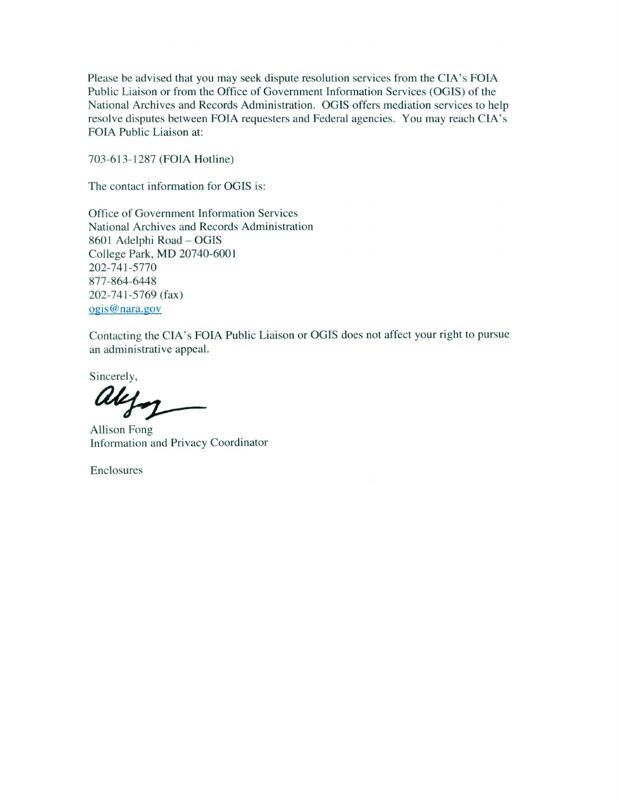Please be advised that you may seek dispute resolution services from the CIA's FOIA Public Liaison or from the Office of Government Information Services (OGIS) of the National Archives and Records Administration. OGIS offers mediation services to help resolve disputes between FOIA requesters and Federal agencies. You may reach CIA's FOIA Public Liaison at:

703-613-1287 (FOIA Hotline)

The contact information for OGIS is:

Office of Government Information Services National Archives and Records Administration 8601 Adelphi Road - OGIS College Park, MD 20740-6001 202-741-5770 877-864-6448 202-741-5769 (fax) ogis@nara.gov

Contacting the CIA's FOIA Public Liaison or OGIS does not affect your right to pursue an administrative appeal.

Sincerely,

alyn

Allison Fong Information and Privacy Coordinator

Enclosures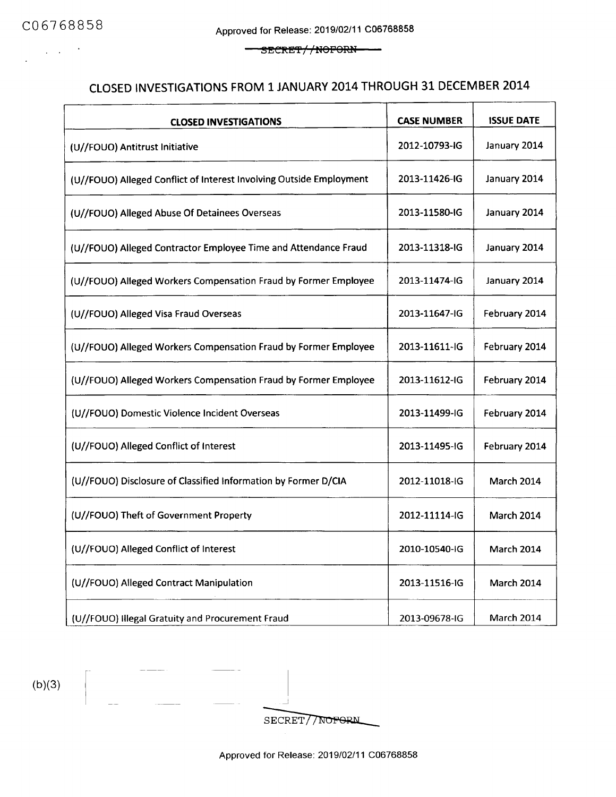$\Delta \sim 10^{-10}$ 

SECRET//NOFORN <u>...</u>

# CLOSED INVESTIGATIONS FROM 1 JANUARY 2014 THROUGH 31 DECEMBER 2014

| <b>CLOSED INVESTIGATIONS</b>                                        | <b>CASE NUMBER</b> | <b>ISSUE DATE</b> |
|---------------------------------------------------------------------|--------------------|-------------------|
| (U//FOUO) Antitrust Initiative                                      | 2012-10793-IG      | January 2014      |
| (U//FOUO) Alleged Conflict of Interest Involving Outside Employment | 2013-11426-IG      | January 2014      |
| (U//FOUO) Alleged Abuse Of Detainees Overseas                       | 2013-11580-IG      | January 2014      |
| (U//FOUO) Alleged Contractor Employee Time and Attendance Fraud     | 2013-11318-IG      | January 2014      |
| (U//FOUO) Alleged Workers Compensation Fraud by Former Employee     | 2013-11474-IG      | January 2014      |
| (U//FOUO) Alleged Visa Fraud Overseas                               | 2013-11647-IG      | February 2014     |
| (U//FOUO) Alleged Workers Compensation Fraud by Former Employee     | 2013-11611-IG      | February 2014     |
| (U//FOUO) Alleged Workers Compensation Fraud by Former Employee     | 2013-11612-IG      | February 2014     |
| (U//FOUO) Domestic Violence Incident Overseas                       | 2013-11499-IG      | February 2014     |
| (U//FOUO) Alleged Conflict of Interest                              | 2013-11495-IG      | February 2014     |
| (U//FOUO) Disclosure of Classified Information by Former D/CIA      | 2012-11018-IG      | <b>March 2014</b> |
| (U//FOUO) Theft of Government Property                              | 2012-11114-IG      | <b>March 2014</b> |
| (U//FOUO) Alleged Conflict of Interest                              | 2010-10540-IG      | <b>March 2014</b> |
| (U//FOUO) Alleged Contract Manipulation                             | 2013-11516-IG      | <b>March 2014</b> |
| (U//FOUO) Illegal Gratuity and Procurement Fraud                    | 2013-09678-IG      | <b>March 2014</b> |

 $(b)(3)$ 

SECRET//NOFORM

Approved for Release: 2019/02/11 C06768858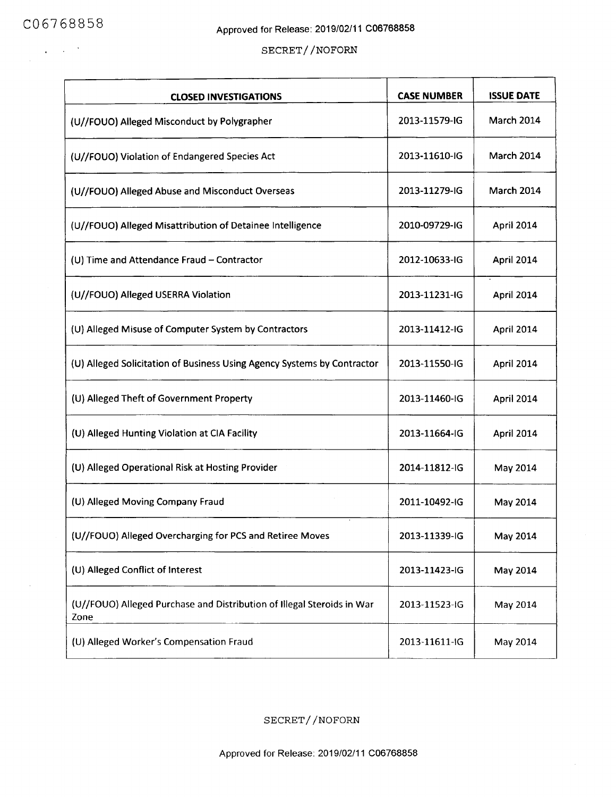$\mathcal{A}=\mathcal{A}^{\mathcal{A}}$  ,  $\mathcal{A}$ 

 $\sim$ 

#### SECRET//NOFORN

| <b>CLOSED INVESTIGATIONS</b>                                                   | <b>CASE NUMBER</b> | <b>ISSUE DATE</b> |
|--------------------------------------------------------------------------------|--------------------|-------------------|
| (U//FOUO) Alleged Misconduct by Polygrapher                                    | 2013-11579-IG      | <b>March 2014</b> |
| (U//FOUO) Violation of Endangered Species Act                                  | 2013-11610-IG      | <b>March 2014</b> |
| (U//FOUO) Alleged Abuse and Misconduct Overseas                                | 2013-11279-IG      | March 2014        |
| (U//FOUO) Alleged Misattribution of Detainee Intelligence                      | 2010-09729-IG      | April 2014        |
| (U) Time and Attendance Fraud - Contractor                                     | 2012-10633-IG      | April 2014        |
| (U//FOUO) Alleged USERRA Violation                                             | 2013-11231-IG      | April 2014        |
| (U) Alleged Misuse of Computer System by Contractors                           | 2013-11412-IG      | April 2014        |
| (U) Alleged Solicitation of Business Using Agency Systems by Contractor        | 2013-11550-IG      | April 2014        |
| (U) Alleged Theft of Government Property                                       | 2013-11460-IG      | April 2014        |
| (U) Alleged Hunting Violation at CIA Facility                                  | 2013-11664-IG      | April 2014        |
| (U) Alleged Operational Risk at Hosting Provider                               | 2014-11812-IG      | May 2014          |
| (U) Alleged Moving Company Fraud                                               | 2011-10492-IG      | May 2014          |
| (U//FOUO) Alleged Overcharging for PCS and Retiree Moves                       | 2013-11339-IG      | May 2014          |
| (U) Alleged Conflict of Interest                                               | 2013-11423-IG      | May 2014          |
| (U//FOUO) Alleged Purchase and Distribution of Illegal Steroids in War<br>Zone | 2013-11523-IG      | May 2014          |
| (U) Alleged Worker's Compensation Fraud                                        | 2013-11611-IG      | May 2014          |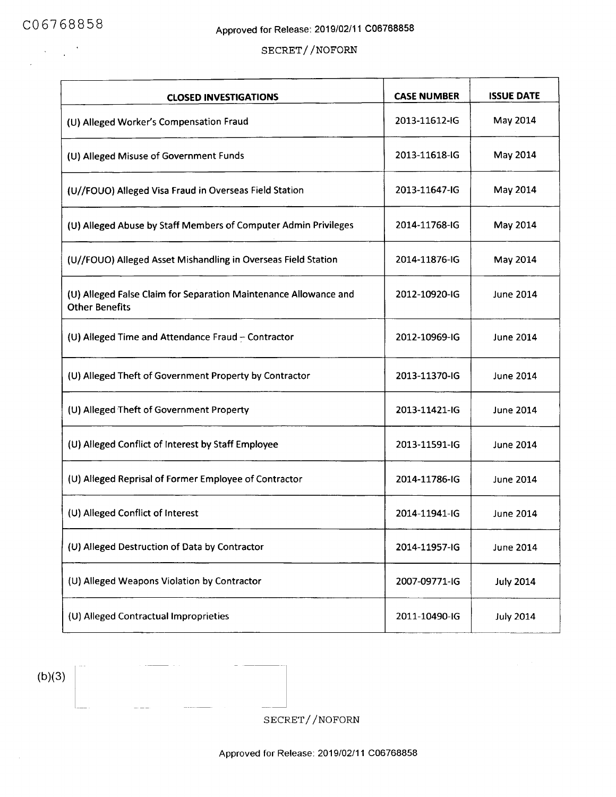#### SECRET//NOFORN

| <b>CLOSED INVESTIGATIONS</b>                                                              | <b>CASE NUMBER</b> | <b>ISSUE DATE</b> |
|-------------------------------------------------------------------------------------------|--------------------|-------------------|
| (U) Alleged Worker's Compensation Fraud                                                   | 2013-11612-IG      | May 2014          |
| (U) Alleged Misuse of Government Funds                                                    | 2013-11618-IG      | May 2014          |
| (U//FOUO) Alleged Visa Fraud in Overseas Field Station                                    | 2013-11647-IG      | May 2014          |
| (U) Alleged Abuse by Staff Members of Computer Admin Privileges                           | 2014-11768-IG      | May 2014          |
| (U//FOUO) Alleged Asset Mishandling in Overseas Field Station                             | 2014-11876-IG      | May 2014          |
| (U) Alleged False Claim for Separation Maintenance Allowance and<br><b>Other Benefits</b> | 2012-10920-IG      | <b>June 2014</b>  |
| (U) Alleged Time and Attendance Fraud - Contractor                                        | 2012-10969-IG      | <b>June 2014</b>  |
| (U) Alleged Theft of Government Property by Contractor                                    | 2013-11370-IG      | June 2014         |
| (U) Alleged Theft of Government Property                                                  | 2013-11421-IG      | <b>June 2014</b>  |
| (U) Alleged Conflict of Interest by Staff Employee                                        | 2013-11591-IG      | <b>June 2014</b>  |
| (U) Alleged Reprisal of Former Employee of Contractor                                     | 2014-11786-IG      | <b>June 2014</b>  |
| (U) Alleged Conflict of Interest                                                          | 2014-11941-IG      | June 2014         |
| (U) Alleged Destruction of Data by Contractor                                             | 2014-11957-IG      | <b>June 2014</b>  |
| (U) Alleged Weapons Violation by Contractor                                               | 2007-09771-IG      | <b>July 2014</b>  |
| (U) Alleged Contractual Improprieties                                                     | 2011-10490-IG      | <b>July 2014</b>  |

 $(b)(3)$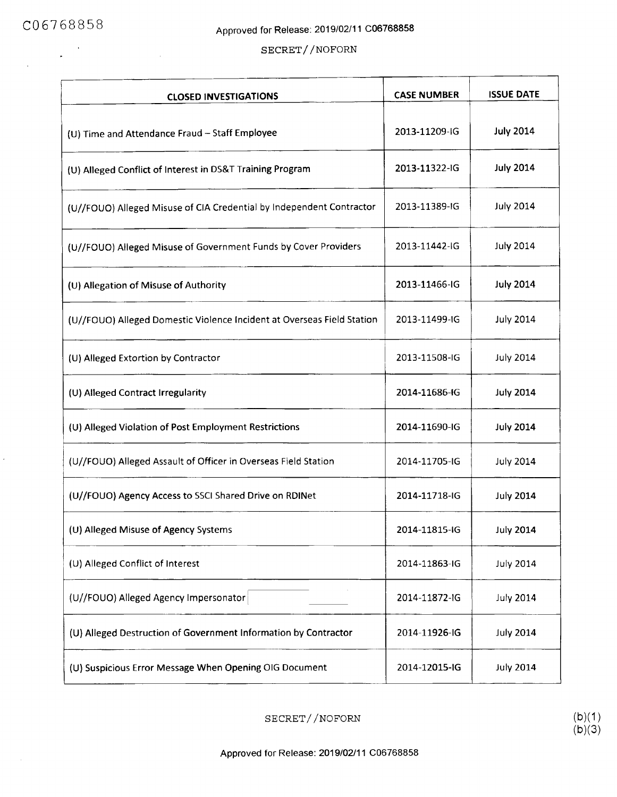$\bar{\phantom{a}}$ 

 $\sim$ 

 $\label{eq:2} \frac{1}{\sqrt{2}}\left(\frac{1}{\sqrt{2}}\right)^{1/2}$ 

 $\mathbb{R}^2$ 

 $\hat{\mathbf{z}}$ 

| <b>CLOSED INVESTIGATIONS</b>                                           | <b>CASE NUMBER</b> | <b>ISSUE DATE</b> |
|------------------------------------------------------------------------|--------------------|-------------------|
| (U) Time and Attendance Fraud - Staff Employee                         | 2013-11209-IG      | <b>July 2014</b>  |
| (U) Alleged Conflict of Interest in DS&T Training Program              | 2013-11322-IG      | <b>July 2014</b>  |
| (U//FOUO) Alleged Misuse of CIA Credential by Independent Contractor   | 2013-11389-IG      | <b>July 2014</b>  |
| (U//FOUO) Alleged Misuse of Government Funds by Cover Providers        | 2013-11442-IG      | <b>July 2014</b>  |
| (U) Allegation of Misuse of Authority                                  | 2013-11466-IG      | <b>July 2014</b>  |
| (U//FOUO) Alleged Domestic Violence Incident at Overseas Field Station | 2013-11499-IG      | <b>July 2014</b>  |
| (U) Alleged Extortion by Contractor                                    | 2013-11508-IG      | <b>July 2014</b>  |
| (U) Alleged Contract Irregularity                                      | 2014-11686-IG      | <b>July 2014</b>  |
| (U) Alleged Violation of Post Employment Restrictions                  | 2014-11690-IG      | <b>July 2014</b>  |
| (U//FOUO) Alleged Assault of Officer in Overseas Field Station         | 2014-11705-IG      | <b>July 2014</b>  |
| (U//FOUO) Agency Access to SSCI Shared Drive on RDINet                 | 2014-11718-IG      | <b>July 2014</b>  |
| (U) Alleged Misuse of Agency Systems                                   | 2014-11815-IG      | <b>July 2014</b>  |
| (U) Alleged Conflict of Interest                                       | 2014-11863-IG      | <b>July 2014</b>  |
| (U//FOUO) Alleged Agency Impersonator                                  | 2014-11872-IG      | <b>July 2014</b>  |
| (U) Alleged Destruction of Government Information by Contractor        | 2014-11926-IG      | <b>July 2014</b>  |
| (U) Suspicious Error Message When Opening OIG Document                 | 2014-12015-IG      | <b>July 2014</b>  |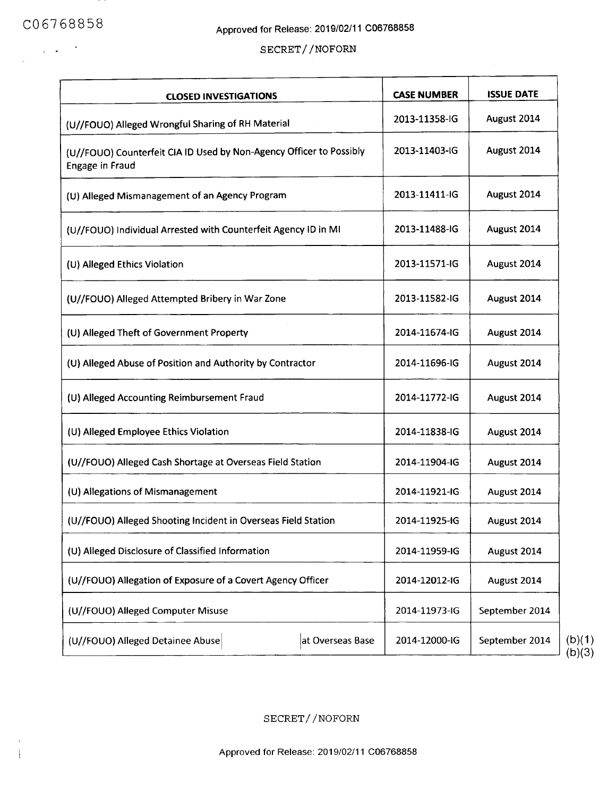$\langle \alpha \rangle \propto \gamma^{-3}$ 

 $\bar{1}$  $\begin{array}{c} \hline \end{array}$ 

## SECRET//NOFORN

| <b>CLOSED INVESTIGATIONS</b>                                                           | <b>CASE NUMBER</b> | <b>ISSUE DATE</b> |
|----------------------------------------------------------------------------------------|--------------------|-------------------|
| (U//FOUO) Alleged Wrongful Sharing of RH Material                                      | 2013-11358-IG      | August 2014       |
| (U//FOUO) Counterfeit CIA ID Used by Non-Agency Officer to Possibly<br>Engage in Fraud | 2013-11403-IG      | August 2014       |
| (U) Alleged Mismanagement of an Agency Program                                         | 2013-11411-IG      | August 2014       |
| (U//FOUO) Individual Arrested with Counterfeit Agency ID in MI                         | 2013-11488-IG      | August 2014       |
| (U) Alleged Ethics Violation                                                           | 2013-11571-IG      | August 2014       |
| (U//FOUO) Alleged Attempted Bribery in War Zone                                        | 2013-11582-IG      | August 2014       |
| (U) Alleged Theft of Government Property                                               | 2014-11674-IG      | August 2014       |
| (U) Alleged Abuse of Position and Authority by Contractor                              | 2014-11696-IG      | August 2014       |
| (U) Alleged Accounting Reimbursement Fraud                                             | 2014-11772-IG      | August 2014       |
| (U) Alleged Employee Ethics Violation                                                  | 2014-11838-IG      | August 2014       |
| (U//FOUO) Alleged Cash Shortage at Overseas Field Station                              | 2014-11904-IG      | August 2014       |
| (U) Allegations of Mismanagement                                                       | 2014-11921-IG      | August 2014       |
| (U//FOUO) Alleged Shooting Incident in Overseas Field Station                          | 2014-11925-IG      | August 2014       |
| (U) Alleged Disclosure of Classified Information                                       | 2014-11959-IG      | August 2014       |
| (U//FOUO) Allegation of Exposure of a Covert Agency Officer                            | 2014-12012-IG      | August 2014       |
| (U//FOUO) Alleged Computer Misuse                                                      | 2014-11973-IG      | September 2014    |
| (U//FOUO) Alleged Detainee Abuse<br>at Overseas Base                                   | 2014-12000-IG      | September 2014    |

(b)(3)